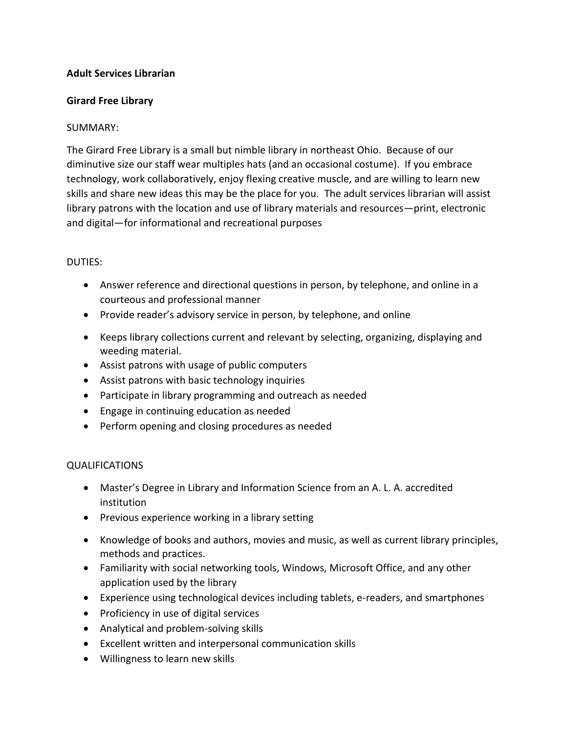## **Adult Services Librarian**

## **Girard Free Library**

## SUMMARY:

The Girard Free Library is a small but nimble library in northeast Ohio. Because of our diminutive size our staff wear multiples hats (and an occasional costume). If you embrace technology, work collaboratively, enjoy flexing creative muscle, and are willing to learn new skills and share new ideas this may be the place for you. The adult services librarian will assist library patrons with the location and use of library materials and resources—print, electronic and digital—for informational and recreational purposes

## DUTIES:

- Answer reference and directional questions in person, by telephone, and online in a courteous and professional manner
- Provide reader's advisory service in person, by telephone, and online
- Keeps library collections current and relevant by selecting, organizing, displaying and weeding material.
- Assist patrons with usage of public computers
- Assist patrons with basic technology inquiries
- Participate in library programming and outreach as needed
- Engage in continuing education as needed
- Perform opening and closing procedures as needed

# QUALIFICATIONS

- Master's Degree in Library and Information Science from an A. L. A. accredited institution
- Previous experience working in a library setting
- Knowledge of books and authors, movies and music, as well as current library principles, methods and practices.
- Familiarity with social networking tools, Windows, Microsoft Office, and any other application used by the library
- Experience using technological devices including tablets, e-readers, and smartphones
- Proficiency in use of digital services
- Analytical and problem-solving skills
- Excellent written and interpersonal communication skills
- Willingness to learn new skills